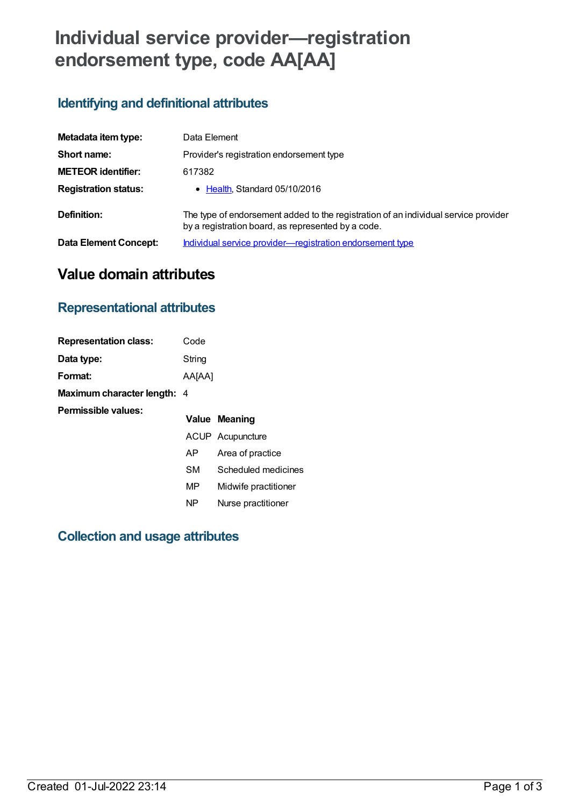# **Individual service provider—registration endorsement type, code AA[AA]**

## **Identifying and definitional attributes**

| Metadata item type:         | Data Element                                                                                                                              |
|-----------------------------|-------------------------------------------------------------------------------------------------------------------------------------------|
| Short name:                 | Provider's registration endorsement type                                                                                                  |
| <b>METEOR identifier:</b>   | 617382                                                                                                                                    |
| <b>Registration status:</b> | • Health, Standard 05/10/2016                                                                                                             |
| Definition:                 | The type of endorsement added to the registration of an individual service provider<br>by a registration board, as represented by a code. |
| Data Element Concept:       | Individual service provider-registration endorsement type                                                                                 |

# **Value domain attributes**

#### **Representational attributes**

| <b>Representation class:</b>       | Code      |                      |
|------------------------------------|-----------|----------------------|
| Data type:                         | String    |                      |
| Format:                            | AA[AA]    |                      |
| <b>Maximum character length: 4</b> |           |                      |
| Permissible values:                |           | Value Meaning        |
|                                    |           | ACUP Acupuncture     |
|                                    | AP.       | Area of practice     |
|                                    | <b>SM</b> | Scheduled medicines  |
|                                    | MP        | Midwife practitioner |
|                                    | NP        | Nurse practitioner   |

## **Collection and usage attributes**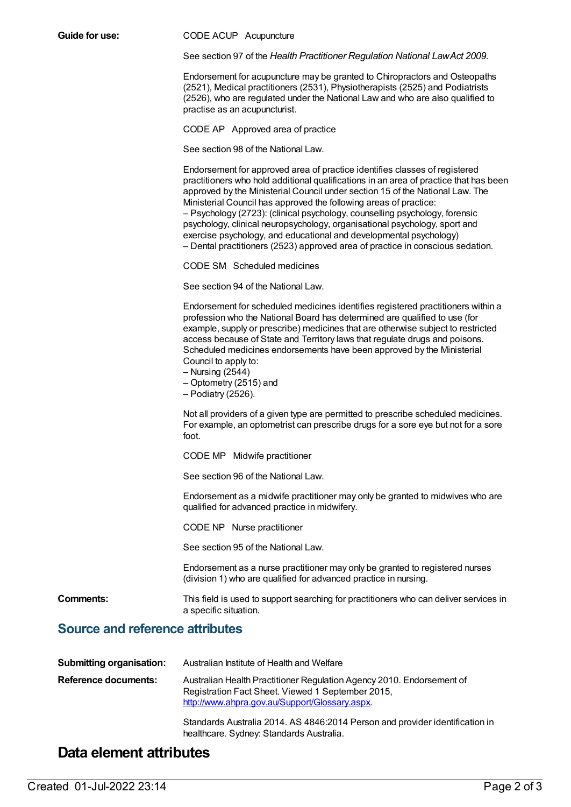**Guide for use:** CODE ACUP Acupuncture

See section 97 of the *Health Practitioner Regulation National LawAct 2009*.

Endorsement for acupuncture may be granted to Chiropractors and Osteopaths (2521), Medical practitioners (2531), Physiotherapists (2525) and Podiatrists (2526), who are regulated under the National Law and who are also qualified to practise as an acupuncturist.

CODE AP Approved area of practice

See section 98 of the National Law.

|                                        | Endorsement for approved area of practice identifies classes of registered<br>practitioners who hold additional qualifications in an area of practice that has been<br>approved by the Ministerial Council under section 15 of the National Law. The<br>Ministerial Council has approved the following areas of practice:<br>- Psychology (2723): (clinical psychology, counselling psychology, forensic<br>psychology, clinical neuropsychology, organisational psychology, sport and<br>exercise psychology, and educational and developmental psychology)<br>- Dental practitioners (2523) approved area of practice in conscious sedation. |
|----------------------------------------|------------------------------------------------------------------------------------------------------------------------------------------------------------------------------------------------------------------------------------------------------------------------------------------------------------------------------------------------------------------------------------------------------------------------------------------------------------------------------------------------------------------------------------------------------------------------------------------------------------------------------------------------|
|                                        | CODE SM Scheduled medicines                                                                                                                                                                                                                                                                                                                                                                                                                                                                                                                                                                                                                    |
|                                        | See section 94 of the National Law.                                                                                                                                                                                                                                                                                                                                                                                                                                                                                                                                                                                                            |
|                                        | Endorsement for scheduled medicines identifies registered practitioners within a<br>profession who the National Board has determined are qualified to use (for<br>example, supply or prescribe) medicines that are otherwise subject to restricted<br>access because of State and Territory laws that regulate drugs and poisons.<br>Scheduled medicines endorsements have been approved by the Ministerial<br>Council to apply to:<br>$-$ Nursing (2544)<br>- Optometry (2515) and<br>- Podiatry (2526).                                                                                                                                      |
|                                        | Not all providers of a given type are permitted to prescribe scheduled medicines.<br>For example, an optometrist can prescribe drugs for a sore eye but not for a sore<br>foot.                                                                                                                                                                                                                                                                                                                                                                                                                                                                |
|                                        | CODE MP Midwife practitioner                                                                                                                                                                                                                                                                                                                                                                                                                                                                                                                                                                                                                   |
|                                        | See section 96 of the National Law.                                                                                                                                                                                                                                                                                                                                                                                                                                                                                                                                                                                                            |
|                                        | Endorsement as a midwife practitioner may only be granted to midwives who are<br>qualified for advanced practice in midwifery.                                                                                                                                                                                                                                                                                                                                                                                                                                                                                                                 |
|                                        | CODE NP Nurse practitioner                                                                                                                                                                                                                                                                                                                                                                                                                                                                                                                                                                                                                     |
|                                        | See section 95 of the National Law.                                                                                                                                                                                                                                                                                                                                                                                                                                                                                                                                                                                                            |
|                                        | Endorsement as a nurse practitioner may only be granted to registered nurses<br>(division 1) who are qualified for advanced practice in nursing.                                                                                                                                                                                                                                                                                                                                                                                                                                                                                               |
| <b>Comments:</b>                       | This field is used to support searching for practitioners who can deliver services in<br>a specific situation.                                                                                                                                                                                                                                                                                                                                                                                                                                                                                                                                 |
| <b>Source and reference attributes</b> |                                                                                                                                                                                                                                                                                                                                                                                                                                                                                                                                                                                                                                                |
| <b>Submitting organisation:</b>        | Australian Institute of Health and Welfare                                                                                                                                                                                                                                                                                                                                                                                                                                                                                                                                                                                                     |

| Reference documents: | Australian Health Practitioner Regulation Agency 2010. Endorsement of<br>Registration Fact Sheet. Viewed 1 September 2015,<br>http://www.ahpra.gov.au/Support/Glossary.aspx. |
|----------------------|------------------------------------------------------------------------------------------------------------------------------------------------------------------------------|
|                      |                                                                                                                                                                              |

Standards Australia 2014. AS 4846:2014 Person and provider identification in healthcare. Sydney: Standards Australia.

#### **Data element attributes**